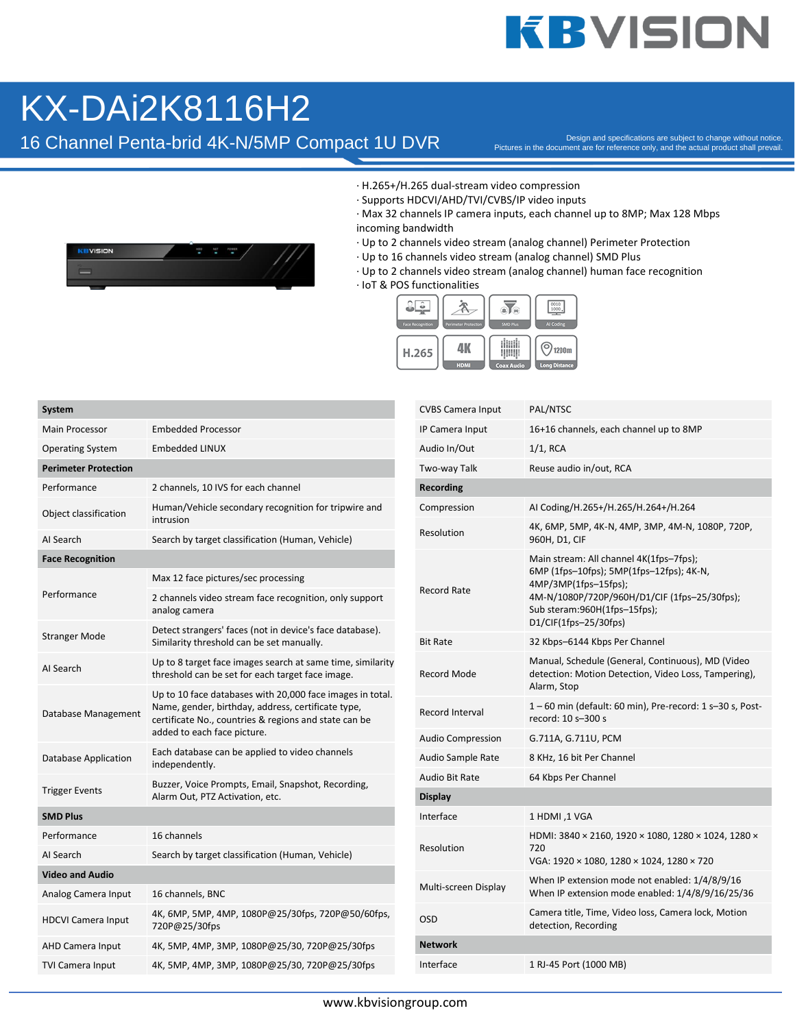## **KBVISION**

## KX-DAi2K8116H2

16 Channel Penta-brid 4K-N/5MP Compact 1U DVR

Pictures in the document are for reference only, and the actual product shall prevail.



- · H.265+/H.265 dual-stream video compression
- · Supports HDCVI/AHD/TVI/CVBS/IP video inputs
- · Max 32 channels IP camera inputs, each channel up to 8MP; Max 128 Mbps incoming bandwidth
- · Up to 2 channels video stream (analog channel) Perimeter Protection
- · Up to 16 channels video stream (analog channel) SMD Plus
- · Up to 2 channels video stream (analog channel) human face recognition
- · IoT & POS functionalities



| <b>System</b>               |                                                                                                                                                                                                         |  |  |  |  |
|-----------------------------|---------------------------------------------------------------------------------------------------------------------------------------------------------------------------------------------------------|--|--|--|--|
| <b>Main Processor</b>       | <b>Embedded Processor</b>                                                                                                                                                                               |  |  |  |  |
| <b>Operating System</b>     | <b>Embedded LINUX</b>                                                                                                                                                                                   |  |  |  |  |
| <b>Perimeter Protection</b> |                                                                                                                                                                                                         |  |  |  |  |
| Performance                 | 2 channels, 10 IVS for each channel                                                                                                                                                                     |  |  |  |  |
| Object classification       | Human/Vehicle secondary recognition for tripwire and<br>intrusion                                                                                                                                       |  |  |  |  |
| AI Search                   | Search by target classification (Human, Vehicle)                                                                                                                                                        |  |  |  |  |
| <b>Face Recognition</b>     |                                                                                                                                                                                                         |  |  |  |  |
|                             | Max 12 face pictures/sec processing                                                                                                                                                                     |  |  |  |  |
| Performance                 | 2 channels video stream face recognition, only support<br>analog camera                                                                                                                                 |  |  |  |  |
| <b>Stranger Mode</b>        | Detect strangers' faces (not in device's face database).<br>Similarity threshold can be set manually.                                                                                                   |  |  |  |  |
| AI Search                   | Up to 8 target face images search at same time, similarity<br>threshold can be set for each target face image.                                                                                          |  |  |  |  |
| Database Management         | Up to 10 face databases with 20,000 face images in total.<br>Name, gender, birthday, address, certificate type,<br>certificate No., countries & regions and state can be<br>added to each face picture. |  |  |  |  |
| Database Application        | Each database can be applied to video channels<br>independently.                                                                                                                                        |  |  |  |  |
| <b>Trigger Events</b>       | Buzzer, Voice Prompts, Email, Snapshot, Recording,<br>Alarm Out, PTZ Activation, etc.                                                                                                                   |  |  |  |  |
| <b>SMD Plus</b>             |                                                                                                                                                                                                         |  |  |  |  |
| Performance                 | 16 channels                                                                                                                                                                                             |  |  |  |  |
| AI Search                   | Search by target classification (Human, Vehicle)                                                                                                                                                        |  |  |  |  |
| <b>Video and Audio</b>      |                                                                                                                                                                                                         |  |  |  |  |
| Analog Camera Input         | 16 channels, BNC                                                                                                                                                                                        |  |  |  |  |
| <b>HDCVI Camera Input</b>   | 4K, 6MP, 5MP, 4MP, 1080P@25/30fps, 720P@50/60fps,<br>720P@25/30fps                                                                                                                                      |  |  |  |  |
| AHD Camera Input            | 4K, 5MP, 4MP, 3MP, 1080P@25/30, 720P@25/30fps                                                                                                                                                           |  |  |  |  |
| <b>TVI Camera Input</b>     | 4K, 5MP, 4MP, 3MP, 1080P@25/30, 720P@25/30fps                                                                                                                                                           |  |  |  |  |

| <b>CVBS Camera Input</b> | PAL/NTSC                                                                                                                                                                                                               |  |  |
|--------------------------|------------------------------------------------------------------------------------------------------------------------------------------------------------------------------------------------------------------------|--|--|
| IP Camera Input          | 16+16 channels, each channel up to 8MP                                                                                                                                                                                 |  |  |
| Audio In/Out             | $1/1$ , RCA                                                                                                                                                                                                            |  |  |
| Two-way Talk             | Reuse audio in/out, RCA                                                                                                                                                                                                |  |  |
| Recording                |                                                                                                                                                                                                                        |  |  |
| Compression              | AI Coding/H.265+/H.265/H.264+/H.264                                                                                                                                                                                    |  |  |
| Resolution               | 4K, 6MP, 5MP, 4K-N, 4MP, 3MP, 4M-N, 1080P, 720P,<br>960H, D1, CIF                                                                                                                                                      |  |  |
| <b>Record Rate</b>       | Main stream: All channel 4K(1fps-7fps);<br>6MP (1fps-10fps); 5MP(1fps-12fps); 4K-N,<br>$4MP/3MP(1fps-15fps);$<br>4M-N/1080P/720P/960H/D1/CIF (1fps-25/30fps);<br>Sub steram:960H(1fps-15fps);<br>D1/CIF(1fps-25/30fps) |  |  |
| <b>Bit Rate</b>          | 32 Kbps-6144 Kbps Per Channel                                                                                                                                                                                          |  |  |
| <b>Record Mode</b>       | Manual, Schedule (General, Continuous), MD (Video<br>detection: Motion Detection, Video Loss, Tampering),<br>Alarm, Stop                                                                                               |  |  |
| Record Interval          | 1 – 60 min (default: 60 min), Pre-record: 1 s–30 s, Post-<br>record: 10 s-300 s                                                                                                                                        |  |  |
| Audio Compression        | G.711A, G.711U, PCM                                                                                                                                                                                                    |  |  |
| Audio Sample Rate        | 8 KHz, 16 bit Per Channel                                                                                                                                                                                              |  |  |
| Audio Bit Rate           | 64 Kbps Per Channel                                                                                                                                                                                                    |  |  |
| Display                  |                                                                                                                                                                                                                        |  |  |
| Interface                | 1 HDMI ,1 VGA                                                                                                                                                                                                          |  |  |
| Resolution               | HDMI: 3840 × 2160, 1920 × 1080, 1280 × 1024, 1280 ×<br>720<br>VGA: 1920 × 1080, 1280 × 1024, 1280 × 720                                                                                                                |  |  |
| Multi-screen Display     | When IP extension mode not enabled: 1/4/8/9/16<br>When IP extension mode enabled: 1/4/8/9/16/25/36                                                                                                                     |  |  |
| OSD                      | Camera title, Time, Video loss, Camera lock, Motion<br>detection, Recording                                                                                                                                            |  |  |
| Network                  |                                                                                                                                                                                                                        |  |  |
| Interface                | 1 RJ-45 Port (1000 MB)                                                                                                                                                                                                 |  |  |
|                          |                                                                                                                                                                                                                        |  |  |